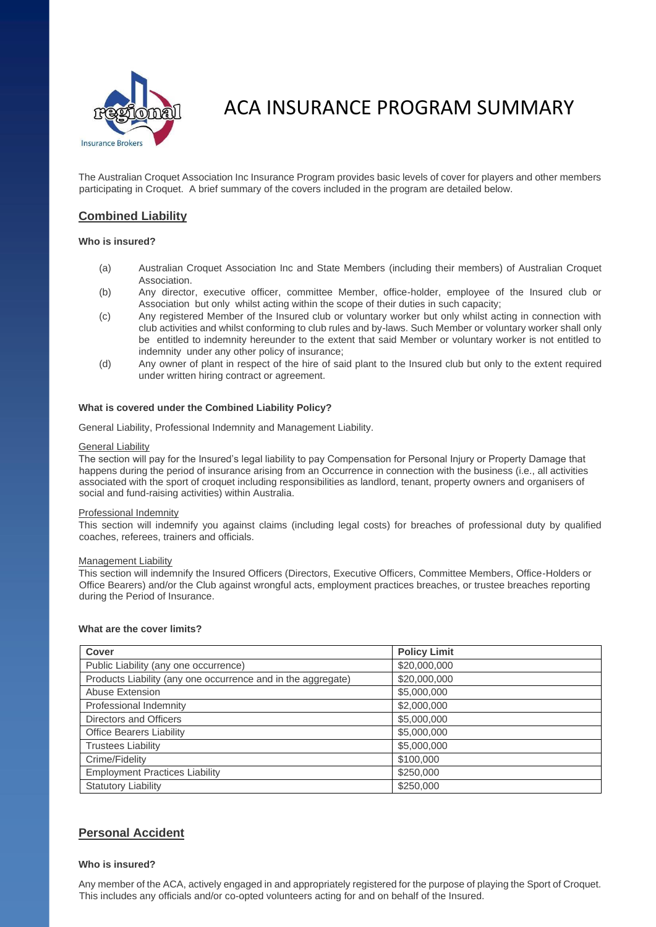

# ACA INSURANCE PROGRAM SUMMARY

The Australian Croquet Association Inc Insurance Program provides basic levels of cover for players and other members participating in Croquet. A brief summary of the covers included in the program are detailed below.

# **Combined Liability**

# **Who is insured?**

- (a) Australian Croquet Association Inc and State Members (including their members) of Australian Croquet Association.
- (b) Any director, executive officer, committee Member, office-holder, employee of the Insured club or Association but only whilst acting within the scope of their duties in such capacity;
- (c) Any registered Member of the Insured club or voluntary worker but only whilst acting in connection with club activities and whilst conforming to club rules and by-laws. Such Member or voluntary worker shall only be entitled to indemnity hereunder to the extent that said Member or voluntary worker is not entitled to indemnity under any other policy of insurance;
- (d) Any owner of plant in respect of the hire of said plant to the Insured club but only to the extent required under written hiring contract or agreement.

# **What is covered under the Combined Liability Policy?**

General Liability, Professional Indemnity and Management Liability.

# General Liability

The section will pay for the Insured's legal liability to pay Compensation for Personal Injury or Property Damage that happens during the period of insurance arising from an Occurrence in connection with the business (i.e., all activities associated with the sport of croquet including responsibilities as landlord, tenant, property owners and organisers of social and fund-raising activities) within Australia.

# Professional Indemnity

This section will indemnify you against claims (including legal costs) for breaches of professional duty by qualified coaches, referees, trainers and officials.

### Management Liability

This section will indemnify the Insured Officers (Directors, Executive Officers, Committee Members, Office-Holders or Office Bearers) and/or the Club against wrongful acts, employment practices breaches, or trustee breaches reporting during the Period of Insurance.

# **What are the cover limits?**

| <b>Cover</b>                                                 | <b>Policy Limit</b> |
|--------------------------------------------------------------|---------------------|
| Public Liability (any one occurrence)                        | \$20,000,000        |
| Products Liability (any one occurrence and in the aggregate) | \$20,000,000        |
| Abuse Extension                                              | \$5,000,000         |
| Professional Indemnity                                       | \$2,000,000         |
| Directors and Officers                                       | \$5,000,000         |
| <b>Office Bearers Liability</b>                              | \$5,000,000         |
| <b>Trustees Liability</b>                                    | \$5,000,000         |
| Crime/Fidelity                                               | \$100,000           |
| <b>Employment Practices Liability</b>                        | \$250,000           |
| <b>Statutory Liability</b>                                   | \$250,000           |

# **Personal Accident**

# **Who is insured?**

Any member of the ACA, actively engaged in and appropriately registered for the purpose of playing the Sport of Croquet. This includes any officials and/or co-opted volunteers acting for and on behalf of the Insured.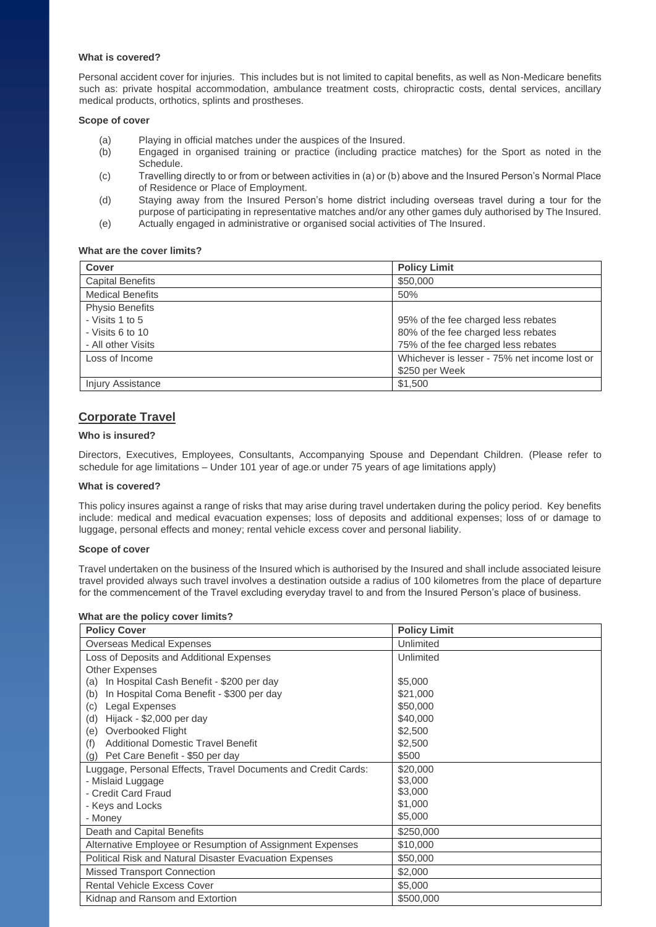# **What is covered?**

Personal accident cover for injuries. This includes but is not limited to capital benefits, as well as Non-Medicare benefits such as: private hospital accommodation, ambulance treatment costs, chiropractic costs, dental services, ancillary medical products, orthotics, splints and prostheses.

# **Scope of cover**

- (a) Playing in official matches under the auspices of the Insured.
- (b) Engaged in organised training or practice (including practice matches) for the Sport as noted in the Schedule.
- (c) Travelling directly to or from or between activities in (a) or (b) above and the Insured Person's Normal Place of Residence or Place of Employment.
- (d) Staying away from the Insured Person's home district including overseas travel during a tour for the purpose of participating in representative matches and/or any other games duly authorised by The Insured. (e) Actually engaged in administrative or organised social activities of The Insured.

**What are the cover limits?** 

| <b>Cover</b>             | <b>Policy Limit</b>                          |
|--------------------------|----------------------------------------------|
| <b>Capital Benefits</b>  | \$50,000                                     |
| <b>Medical Benefits</b>  | 50%                                          |
| <b>Physio Benefits</b>   |                                              |
| - Visits 1 to 5          | 95% of the fee charged less rebates          |
| - Visits 6 to 10         | 80% of the fee charged less rebates          |
| - All other Visits       | 75% of the fee charged less rebates          |
| Loss of Income           | Whichever is lesser - 75% net income lost or |
|                          | \$250 per Week                               |
| <b>Injury Assistance</b> | \$1,500                                      |

# **Corporate Travel**

# **Who is insured?**

Directors, Executives, Employees, Consultants, Accompanying Spouse and Dependant Children. (Please refer to schedule for age limitations – Under 101 year of age.or under 75 years of age limitations apply)

### **What is covered?**

This policy insures against a range of risks that may arise during travel undertaken during the policy period. Key benefits include: medical and medical evacuation expenses; loss of deposits and additional expenses; loss of or damage to luggage, personal effects and money; rental vehicle excess cover and personal liability.

### **Scope of cover**

Travel undertaken on the business of the Insured which is authorised by the Insured and shall include associated leisure travel provided always such travel involves a destination outside a radius of 100 kilometres from the place of departure for the commencement of the Travel excluding everyday travel to and from the Insured Person's place of business.

### **What are the policy cover limits?**

| <b>Policy Cover</b>                                           | <b>Policy Limit</b> |
|---------------------------------------------------------------|---------------------|
| <b>Overseas Medical Expenses</b>                              | Unlimited           |
| Loss of Deposits and Additional Expenses                      | Unlimited           |
| <b>Other Expenses</b>                                         |                     |
| In Hospital Cash Benefit - \$200 per day<br>(a)               | \$5,000             |
| In Hospital Coma Benefit - \$300 per day<br>(b)               | \$21,000            |
| Legal Expenses<br>(c)                                         | \$50,000            |
| Hijack - \$2,000 per day<br>(d)                               | \$40,000            |
| (e)<br>Overbooked Flight                                      | \$2,500             |
| <b>Additional Domestic Travel Benefit</b><br>(f)              | \$2,500             |
| (g) Pet Care Benefit - \$50 per day                           | \$500               |
| Luggage, Personal Effects, Travel Documents and Credit Cards: | \$20,000            |
| - Mislaid Luggage                                             | \$3,000             |
| - Credit Card Fraud                                           | \$3,000             |
| - Keys and Locks                                              | \$1,000             |
| - Money                                                       | \$5,000             |
| Death and Capital Benefits                                    | \$250,000           |
| Alternative Employee or Resumption of Assignment Expenses     | \$10,000            |
| Political Risk and Natural Disaster Evacuation Expenses       | \$50,000            |
| <b>Missed Transport Connection</b>                            | \$2,000             |
| <b>Rental Vehicle Excess Cover</b>                            | \$5,000             |
| Kidnap and Ransom and Extortion                               | \$500,000           |